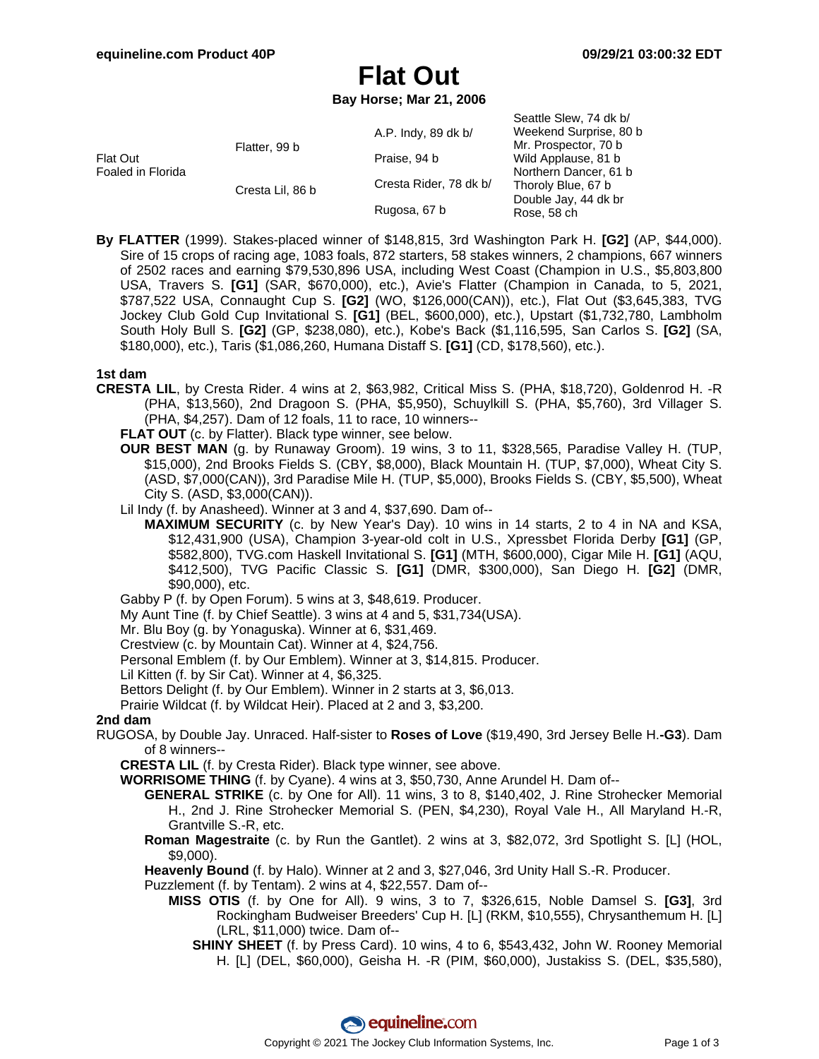# **Flat Out**

**Bay Horse; Mar 21, 2006**

|                               |                  |                        | Seattle Slew, 74 dk b/ |
|-------------------------------|------------------|------------------------|------------------------|
| Flat Out<br>Foaled in Florida | Flatter, 99 b    | A.P. Indy, 89 dk b/    | Weekend Surprise, 80 b |
|                               |                  |                        | Mr. Prospector, 70 b   |
|                               |                  | Praise, 94 b           | Wild Applause, 81 b    |
|                               |                  |                        | Northern Dancer, 61 b  |
|                               | Cresta Lil, 86 b | Cresta Rider, 78 dk b/ | Thoroly Blue, 67 b     |
|                               |                  | Rugosa, 67 b           | Double Jay, 44 dk br   |
|                               |                  |                        | Rose, 58 ch            |

**By FLATTER** (1999). Stakes-placed winner of \$148,815, 3rd Washington Park H. **[G2]** (AP, \$44,000). Sire of 15 crops of racing age, 1083 foals, 872 starters, 58 stakes winners, 2 champions, 667 winners of 2502 races and earning \$79,530,896 USA, including West Coast (Champion in U.S., \$5,803,800 USA, Travers S. **[G1]** (SAR, \$670,000), etc.), Avie's Flatter (Champion in Canada, to 5, 2021, \$787,522 USA, Connaught Cup S. **[G2]** (WO, \$126,000(CAN)), etc.), Flat Out (\$3,645,383, TVG Jockey Club Gold Cup Invitational S. **[G1]** (BEL, \$600,000), etc.), Upstart (\$1,732,780, Lambholm South Holy Bull S. **[G2]** (GP, \$238,080), etc.), Kobe's Back (\$1,116,595, San Carlos S. **[G2]** (SA, \$180,000), etc.), Taris (\$1,086,260, Humana Distaff S. **[G1]** (CD, \$178,560), etc.).

### **1st dam**

- **CRESTA LIL**, by Cresta Rider. 4 wins at 2, \$63,982, Critical Miss S. (PHA, \$18,720), Goldenrod H. -R (PHA, \$13,560), 2nd Dragoon S. (PHA, \$5,950), Schuylkill S. (PHA, \$5,760), 3rd Villager S. (PHA, \$4,257). Dam of 12 foals, 11 to race, 10 winners--
	- FLAT OUT (c. by Flatter). Black type winner, see below.
	- **OUR BEST MAN** (g. by Runaway Groom). 19 wins, 3 to 11, \$328,565, Paradise Valley H. (TUP, \$15,000), 2nd Brooks Fields S. (CBY, \$8,000), Black Mountain H. (TUP, \$7,000), Wheat City S. (ASD, \$7,000(CAN)), 3rd Paradise Mile H. (TUP, \$5,000), Brooks Fields S. (CBY, \$5,500), Wheat City S. (ASD, \$3,000(CAN)).
	- Lil Indy (f. by Anasheed). Winner at 3 and 4, \$37,690. Dam of--
		- **MAXIMUM SECURITY** (c. by New Year's Day). 10 wins in 14 starts, 2 to 4 in NA and KSA, \$12,431,900 (USA), Champion 3-year-old colt in U.S., Xpressbet Florida Derby **[G1]** (GP, \$582,800), TVG.com Haskell Invitational S. **[G1]** (MTH, \$600,000), Cigar Mile H. **[G1]** (AQU, \$412,500), TVG Pacific Classic S. **[G1]** (DMR, \$300,000), San Diego H. **[G2]** (DMR, \$90,000), etc.

Gabby P (f. by Open Forum). 5 wins at 3, \$48,619. Producer.

- My Aunt Tine (f. by Chief Seattle). 3 wins at 4 and 5, \$31,734(USA).
- Mr. Blu Boy (g. by Yonaguska). Winner at 6, \$31,469.
- Crestview (c. by Mountain Cat). Winner at 4, \$24,756.
- Personal Emblem (f. by Our Emblem). Winner at 3, \$14,815. Producer.

Lil Kitten (f. by Sir Cat). Winner at 4, \$6,325.

Bettors Delight (f. by Our Emblem). Winner in 2 starts at 3, \$6,013.

Prairie Wildcat (f. by Wildcat Heir). Placed at 2 and 3, \$3,200.

### **2nd dam**

RUGOSA, by Double Jay. Unraced. Half-sister to **Roses of Love** (\$19,490, 3rd Jersey Belle H.**-G3**). Dam of 8 winners--

**CRESTA LIL** (f. by Cresta Rider). Black type winner, see above.

- **WORRISOME THING** (f. by Cyane). 4 wins at 3, \$50,730, Anne Arundel H. Dam of--
	- **GENERAL STRIKE** (c. by One for All). 11 wins, 3 to 8, \$140,402, J. Rine Strohecker Memorial H., 2nd J. Rine Strohecker Memorial S. (PEN, \$4,230), Royal Vale H., All Maryland H.-R, Grantville S.-R, etc.
	- **Roman Magestraite** (c. by Run the Gantlet). 2 wins at 3, \$82,072, 3rd Spotlight S. [L] (HOL, \$9,000).

**Heavenly Bound** (f. by Halo). Winner at 2 and 3, \$27,046, 3rd Unity Hall S.-R. Producer.

Puzzlement (f. by Tentam). 2 wins at 4, \$22,557. Dam of--

- **MISS OTIS** (f. by One for All). 9 wins, 3 to 7, \$326,615, Noble Damsel S. **[G3]**, 3rd Rockingham Budweiser Breeders' Cup H. [L] (RKM, \$10,555), Chrysanthemum H. [L] (LRL, \$11,000) twice. Dam of--
	- **SHINY SHEET** (f. by Press Card). 10 wins, 4 to 6, \$543,432, John W. Rooney Memorial H. [L] (DEL, \$60,000), Geisha H. -R (PIM, \$60,000), Justakiss S. (DEL, \$35,580),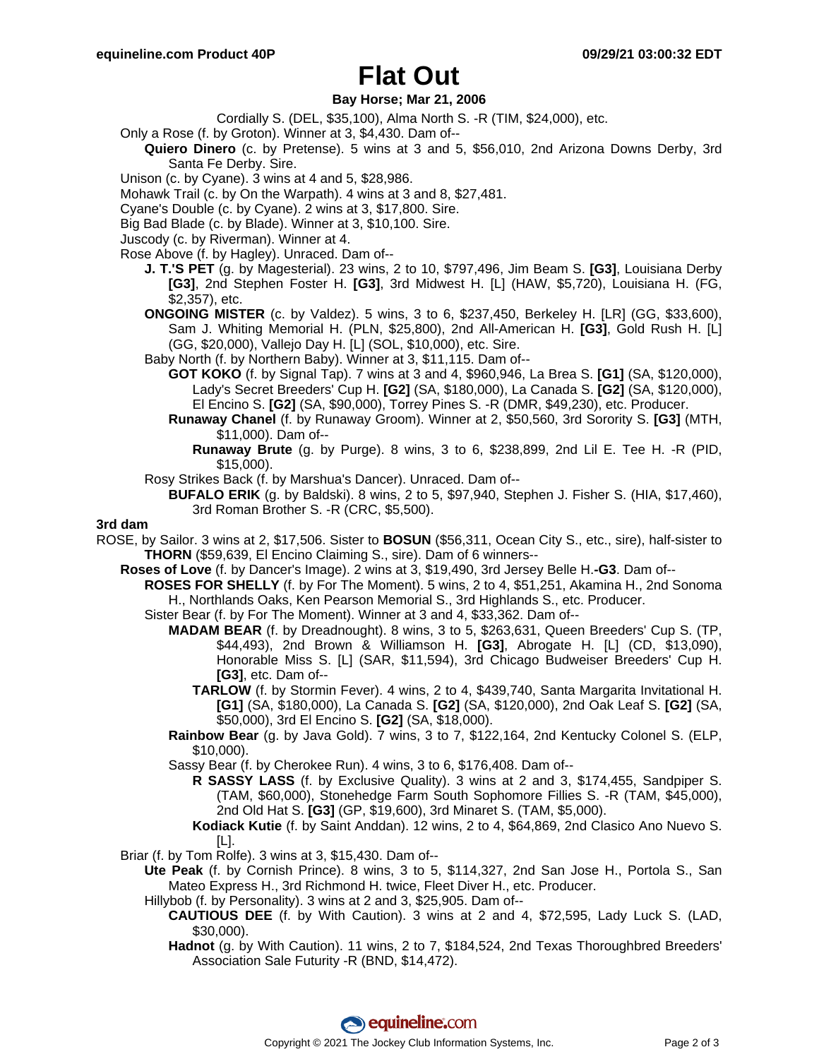# **Flat Out**

### **Bay Horse; Mar 21, 2006**

- Cordially S. (DEL, \$35,100), Alma North S. -R (TIM, \$24,000), etc.
- Only a Rose (f. by Groton). Winner at 3, \$4,430. Dam of--
	- **Quiero Dinero** (c. by Pretense). 5 wins at 3 and 5, \$56,010, 2nd Arizona Downs Derby, 3rd Santa Fe Derby. Sire.
- Unison (c. by Cyane). 3 wins at 4 and 5, \$28,986.
- Mohawk Trail (c. by On the Warpath). 4 wins at 3 and 8, \$27,481.
- Cyane's Double (c. by Cyane). 2 wins at 3, \$17,800. Sire.
- Big Bad Blade (c. by Blade). Winner at 3, \$10,100. Sire.
- Juscody (c. by Riverman). Winner at 4.
- Rose Above (f. by Hagley). Unraced. Dam of--
	- **J. T.'S PET** (g. by Magesterial). 23 wins, 2 to 10, \$797,496, Jim Beam S. **[G3]**, Louisiana Derby **[G3]**, 2nd Stephen Foster H. **[G3]**, 3rd Midwest H. [L] (HAW, \$5,720), Louisiana H. (FG, \$2,357), etc.
	- **ONGOING MISTER** (c. by Valdez). 5 wins, 3 to 6, \$237,450, Berkeley H. [LR] (GG, \$33,600), Sam J. Whiting Memorial H. (PLN, \$25,800), 2nd All-American H. **[G3]**, Gold Rush H. [L] (GG, \$20,000), Vallejo Day H. [L] (SOL, \$10,000), etc. Sire.
	- Baby North (f. by Northern Baby). Winner at 3, \$11,115. Dam of--
		- **GOT KOKO** (f. by Signal Tap). 7 wins at 3 and 4, \$960,946, La Brea S. **[G1]** (SA, \$120,000), Lady's Secret Breeders' Cup H. **[G2]** (SA, \$180,000), La Canada S. **[G2]** (SA, \$120,000), El Encino S. **[G2]** (SA, \$90,000), Torrey Pines S. -R (DMR, \$49,230), etc. Producer.
		- **Runaway Chanel** (f. by Runaway Groom). Winner at 2, \$50,560, 3rd Sorority S. **[G3]** (MTH, \$11,000). Dam of--
			- **Runaway Brute** (g. by Purge). 8 wins, 3 to 6, \$238,899, 2nd Lil E. Tee H. -R (PID, \$15,000).
	- Rosy Strikes Back (f. by Marshua's Dancer). Unraced. Dam of--
		- **BUFALO ERIK** (g. by Baldski). 8 wins, 2 to 5, \$97,940, Stephen J. Fisher S. (HIA, \$17,460), 3rd Roman Brother S. -R (CRC, \$5,500).

#### **3rd dam**

- ROSE, by Sailor. 3 wins at 2, \$17,506. Sister to **BOSUN** (\$56,311, Ocean City S., etc., sire), half-sister to **THORN** (\$59,639, El Encino Claiming S., sire). Dam of 6 winners--
	- **Roses of Love** (f. by Dancer's Image). 2 wins at 3, \$19,490, 3rd Jersey Belle H.**-G3**. Dam of--
		- **ROSES FOR SHELLY** (f. by For The Moment). 5 wins, 2 to 4, \$51,251, Akamina H., 2nd Sonoma H., Northlands Oaks, Ken Pearson Memorial S., 3rd Highlands S., etc. Producer.
			- Sister Bear (f. by For The Moment). Winner at 3 and 4, \$33,362. Dam of--
				- **MADAM BEAR** (f. by Dreadnought). 8 wins, 3 to 5, \$263,631, Queen Breeders' Cup S. (TP, \$44,493), 2nd Brown & Williamson H. **[G3]**, Abrogate H. [L] (CD, \$13,090), Honorable Miss S. [L] (SAR, \$11,594), 3rd Chicago Budweiser Breeders' Cup H. **[G3]**, etc. Dam of--
					- **TARLOW** (f. by Stormin Fever). 4 wins, 2 to 4, \$439,740, Santa Margarita Invitational H. **[G1]** (SA, \$180,000), La Canada S. **[G2]** (SA, \$120,000), 2nd Oak Leaf S. **[G2]** (SA, \$50,000), 3rd El Encino S. **[G2]** (SA, \$18,000).
				- **Rainbow Bear** (g. by Java Gold). 7 wins, 3 to 7, \$122,164, 2nd Kentucky Colonel S. (ELP, \$10,000).
				- Sassy Bear (f. by Cherokee Run). 4 wins, 3 to 6, \$176,408. Dam of--
					- **R SASSY LASS** (f. by Exclusive Quality). 3 wins at 2 and 3, \$174,455, Sandpiper S. (TAM, \$60,000), Stonehedge Farm South Sophomore Fillies S. -R (TAM, \$45,000), 2nd Old Hat S. **[G3]** (GP, \$19,600), 3rd Minaret S. (TAM, \$5,000).
					- **Kodiack Kutie** (f. by Saint Anddan). 12 wins, 2 to 4, \$64,869, 2nd Clasico Ano Nuevo S. [L].
	- Briar (f. by Tom Rolfe). 3 wins at 3, \$15,430. Dam of--
		- **Ute Peak** (f. by Cornish Prince). 8 wins, 3 to 5, \$114,327, 2nd San Jose H., Portola S., San Mateo Express H., 3rd Richmond H. twice, Fleet Diver H., etc. Producer.
		- Hillybob (f. by Personality). 3 wins at 2 and 3, \$25,905. Dam of--
			- **CAUTIOUS DEE** (f. by With Caution). 3 wins at 2 and 4, \$72,595, Lady Luck S. (LAD, \$30,000).
			- **Hadnot** (g. by With Caution). 11 wins, 2 to 7, \$184,524, 2nd Texas Thoroughbred Breeders' Association Sale Futurity -R (BND, \$14,472).